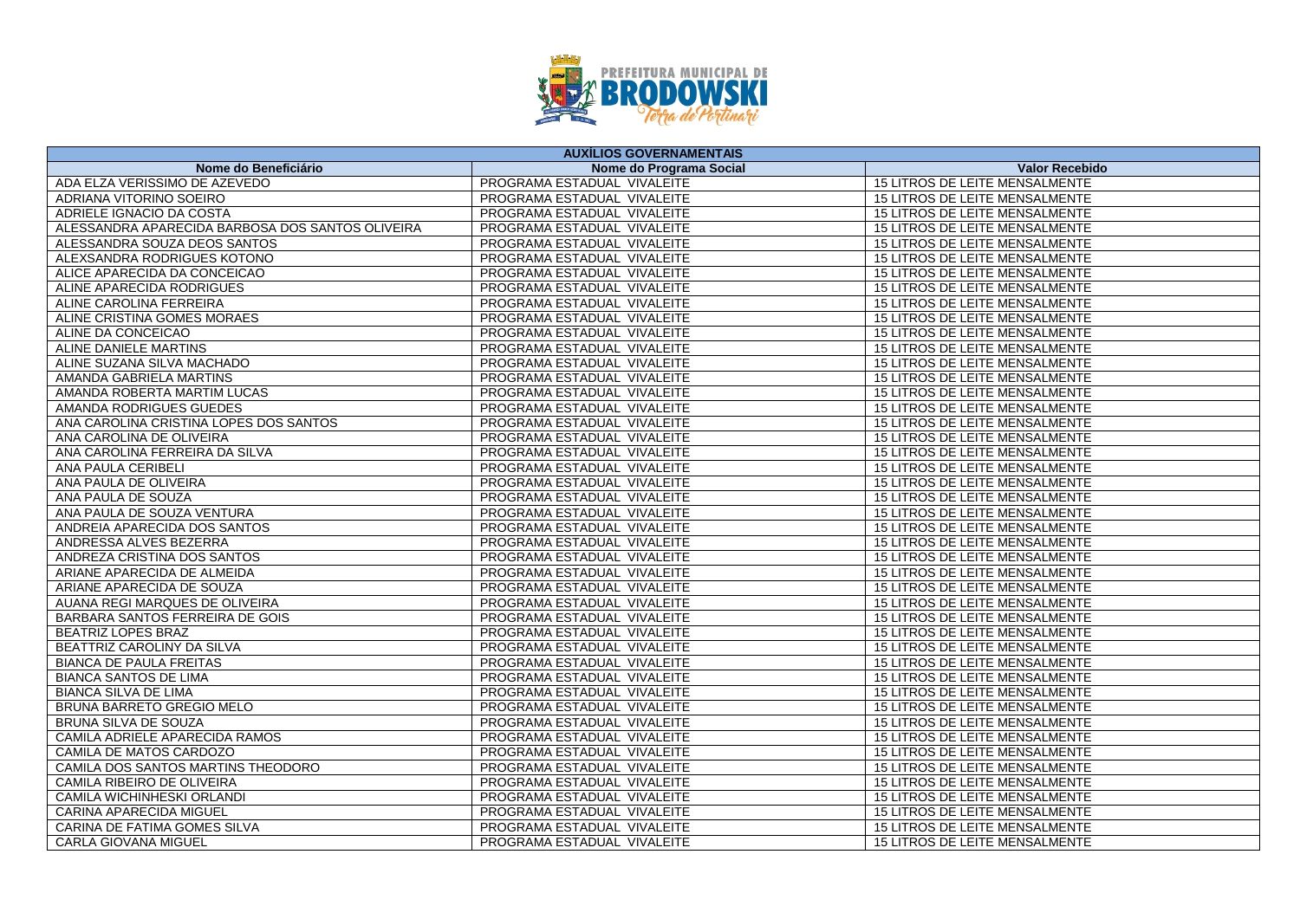

| <b>AUXÍLIOS GOVERNAMENTAIS</b>                   |                             |                                       |
|--------------------------------------------------|-----------------------------|---------------------------------------|
| Nome do Beneficiário                             | Nome do Programa Social     | <b>Valor Recebido</b>                 |
| ADA ELZA VERISSIMO DE AZEVEDO                    | PROGRAMA ESTADUAL VIVALEITE | 15 LITROS DE LEITE MENSALMENTE        |
| ADRIANA VITORINO SOEIRO                          | PROGRAMA ESTADUAL VIVALEITE | 15 LITROS DE LEITE MENSALMENTE        |
| ADRIELE IGNACIO DA COSTA                         | PROGRAMA ESTADUAL VIVALEITE | 15 LITROS DE LEITE MENSALMENTE        |
| ALESSANDRA APARECIDA BARBOSA DOS SANTOS OLIVEIRA | PROGRAMA ESTADUAL VIVALEITE | 15 LITROS DE LEITE MENSALMENTE        |
| ALESSANDRA SOUZA DEOS SANTOS                     | PROGRAMA ESTADUAL VIVALEITE | 15 LITROS DE LEITE MENSALMENTE        |
| ALEXSANDRA RODRIGUES KOTONO                      | PROGRAMA ESTADUAL VIVALEITE | 15 LITROS DE LEITE MENSALMENTE        |
| ALICE APARECIDA DA CONCEICAO                     | PROGRAMA ESTADUAL VIVALEITE | <b>15 LITROS DE LEITE MENSALMENTE</b> |
| ALINE APARECIDA RODRIGUES                        | PROGRAMA ESTADUAL VIVALEITE | 15 LITROS DE LEITE MENSALMENTE        |
| ALINE CAROLINA FERREIRA                          | PROGRAMA ESTADUAL VIVALEITE | 15 LITROS DE LEITE MENSALMENTE        |
| ALINE CRISTINA GOMES MORAES                      | PROGRAMA ESTADUAL VIVALEITE | 15 LITROS DE LEITE MENSALMENTE        |
| ALINE DA CONCEICAO                               | PROGRAMA ESTADUAL VIVALEITE | 15 LITROS DE LEITE MENSALMENTE        |
| ALINE DANIELE MARTINS                            | PROGRAMA ESTADUAL VIVALEITE | <b>15 LITROS DE LEITE MENSALMENTE</b> |
| ALINE SUZANA SILVA MACHADO                       | PROGRAMA ESTADUAL VIVALEITE | 15 LITROS DE LEITE MENSALMENTE        |
| AMANDA GABRIELA MARTINS                          | PROGRAMA ESTADUAL VIVALEITE | 15 LITROS DE LEITE MENSALMENTE        |
| AMANDA ROBERTA MARTIM LUCAS                      | PROGRAMA ESTADUAL VIVALEITE | 15 LITROS DE LEITE MENSALMENTE        |
| AMANDA RODRIGUES GUEDES                          | PROGRAMA ESTADUAL VIVALEITE | 15 LITROS DE LEITE MENSALMENTE        |
| ANA CAROLINA CRISTINA LOPES DOS SANTOS           | PROGRAMA ESTADUAL VIVALEITE | 15 LITROS DE LEITE MENSALMENTE        |
| ANA CAROLINA DE OLIVEIRA                         | PROGRAMA ESTADUAL VIVALEITE | 15 LITROS DE LEITE MENSALMENTE        |
| ANA CAROLINA FERREIRA DA SILVA                   | PROGRAMA ESTADUAL VIVALEITE | 15 LITROS DE LEITE MENSALMENTE        |
| ANA PAULA CERIBELI                               | PROGRAMA ESTADUAL VIVALEITE | 15 LITROS DE LEITE MENSALMENTE        |
| ANA PAULA DE OLIVEIRA                            | PROGRAMA ESTADUAL VIVALEITE | 15 LITROS DE LEITE MENSALMENTE        |
| ANA PAULA DE SOUZA                               | PROGRAMA ESTADUAL VIVALEITE | 15 LITROS DE LEITE MENSALMENTE        |
| ANA PAULA DE SOUZA VENTURA                       | PROGRAMA ESTADUAL VIVALEITE | 15 LITROS DE LEITE MENSALMENTE        |
| ANDREIA APARECIDA DOS SANTOS                     | PROGRAMA ESTADUAL VIVALEITE | <b>15 LITROS DE LEITE MENSALMENTE</b> |
| ANDRESSA ALVES BEZERRA                           | PROGRAMA ESTADUAL VIVALEITE | 15 LITROS DE LEITE MENSALMENTE        |
| ANDREZA CRISTINA DOS SANTOS                      | PROGRAMA ESTADUAL VIVALEITE | 15 LITROS DE LEITE MENSALMENTE        |
| ARIANE APARECIDA DE ALMEIDA                      | PROGRAMA ESTADUAL VIVALEITE | 15 LITROS DE LEITE MENSALMENTE        |
| ARIANE APARECIDA DE SOUZA                        | PROGRAMA ESTADUAL VIVALEITE | 15 LITROS DE LEITE MENSALMENTE        |
| AUANA REGI MARQUES DE OLIVEIRA                   | PROGRAMA ESTADUAL VIVALEITE | 15 LITROS DE LEITE MENSALMENTE        |
| BARBARA SANTOS FERREIRA DE GOIS                  | PROGRAMA ESTADUAL VIVALEITE | 15 LITROS DE LEITE MENSALMENTE        |
| <b>BEATRIZ LOPES BRAZ</b>                        | PROGRAMA ESTADUAL VIVALEITE | 15 LITROS DE LEITE MENSALMENTE        |
| BEATTRIZ CAROLINY DA SILVA                       | PROGRAMA ESTADUAL VIVALEITE | 15 LITROS DE LEITE MENSALMENTE        |
| <b>BIANCA DE PAULA FREITAS</b>                   | PROGRAMA ESTADUAL VIVALEITE | <b>15 LITROS DE LEITE MENSALMENTE</b> |
| <b>BIANCA SANTOS DE LIMA</b>                     | PROGRAMA ESTADUAL VIVALEITE | 15 LITROS DE LEITE MENSALMENTE        |
| <b>BIANCA SILVA DE LIMA</b>                      | PROGRAMA ESTADUAL VIVALEITE | 15 LITROS DE LEITE MENSALMENTE        |
| <b>BRUNA BARRETO GREGIO MELO</b>                 | PROGRAMA ESTADUAL VIVALEITE | 15 LITROS DE LEITE MENSALMENTE        |
| <b>BRUNA SILVA DE SOUZA</b>                      | PROGRAMA ESTADUAL VIVALEITE | 15 LITROS DE LEITE MENSALMENTE        |
| CAMILA ADRIELE APARECIDA RAMOS                   | PROGRAMA ESTADUAL VIVALEITE | 15 LITROS DE LEITE MENSALMENTE        |
| CAMILA DE MATOS CARDOZO                          | PROGRAMA ESTADUAL VIVALEITE | 15 LITROS DE LEITE MENSALMENTE        |
| CAMILA DOS SANTOS MARTINS THEODORO               | PROGRAMA ESTADUAL VIVALEITE | 15 LITROS DE LEITE MENSALMENTE        |
| CAMILA RIBEIRO DE OLIVEIRA                       | PROGRAMA ESTADUAL VIVALEITE | 15 LITROS DE LEITE MENSALMENTE        |
| <b>CAMILA WICHINHESKI ORLANDI</b>                | PROGRAMA ESTADUAL VIVALEITE | 15 LITROS DE LEITE MENSALMENTE        |
| CARINA APARECIDA MIGUEL                          | PROGRAMA ESTADUAL VIVALEITE | 15 LITROS DE LEITE MENSALMENTE        |
| CARINA DE FATIMA GOMES SILVA                     | PROGRAMA ESTADUAL VIVALEITE | 15 LITROS DE LEITE MENSALMENTE        |
| <b>CARLA GIOVANA MIGUEL</b>                      | PROGRAMA ESTADUAL VIVALEITE | 15 LITROS DE LEITE MENSALMENTE        |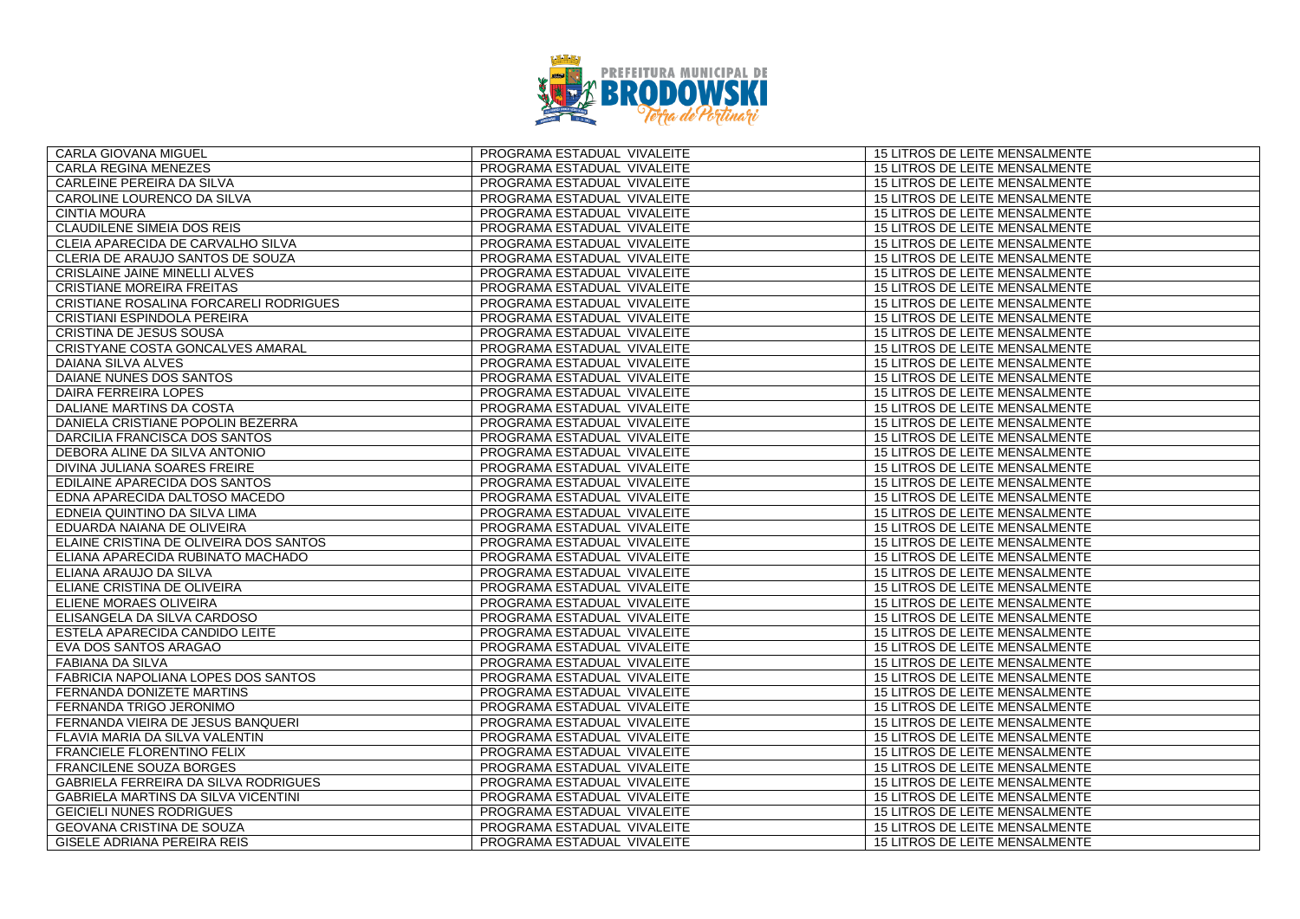

| CARLA GIOVANA MIGUEL                   | PROGRAMA ESTADUAL VIVALEITE | 15 LITROS DE LEITE MENSALMENTE        |
|----------------------------------------|-----------------------------|---------------------------------------|
| <b>CARLA REGINA MENEZES</b>            | PROGRAMA ESTADUAL VIVALEITE | 15 LITROS DE LEITE MENSALMENTE        |
| CARLEINE PEREIRA DA SILVA              | PROGRAMA ESTADUAL VIVALEITE | 15 LITROS DE LEITE MENSALMENTE        |
| CAROLINE LOURENCO DA SILVA             | PROGRAMA ESTADUAL VIVALEITE | 15 LITROS DE LEITE MENSALMENTE        |
| <b>CINTIA MOURA</b>                    | PROGRAMA ESTADUAL VIVALEITE | 15 LITROS DE LEITE MENSALMENTE        |
| <b>CLAUDILENE SIMEIA DOS REIS</b>      | PROGRAMA ESTADUAL VIVALEITE | 15 LITROS DE LEITE MENSALMENTE        |
| CLEIA APARECIDA DE CARVALHO SILVA      | PROGRAMA ESTADUAL VIVALEITE | 15 LITROS DE LEITE MENSALMENTE        |
| CLERIA DE ARAUJO SANTOS DE SOUZA       | PROGRAMA ESTADUAL VIVALEITE | 15 LITROS DE LEITE MENSALMENTE        |
| CRISLAINE JAINE MINELLI ALVES          | PROGRAMA ESTADUAL VIVALEITE | <b>15 LITROS DE LEITE MENSALMENTE</b> |
| <b>CRISTIANE MOREIRA FREITAS</b>       | PROGRAMA ESTADUAL VIVALEITE | 15 LITROS DE LEITE MENSALMENTE        |
| CRISTIANE ROSALINA FORCARELI RODRIGUES | PROGRAMA ESTADUAL VIVALEITE | 15 LITROS DE LEITE MENSALMENTE        |
| CRISTIANI ESPINDOLA PEREIRA            | PROGRAMA ESTADUAL VIVALEITE | 15 LITROS DE LEITE MENSALMENTE        |
| CRISTINA DE JESUS SOUSA                | PROGRAMA ESTADUAL VIVALEITE | 15 LITROS DE LEITE MENSALMENTE        |
| CRISTYANE COSTA GONCALVES AMARAL       | PROGRAMA ESTADUAL VIVALEITE | <b>15 LITROS DE LEITE MENSALMENTE</b> |
| DAIANA SILVA ALVES                     | PROGRAMA ESTADUAL VIVALEITE | 15 LITROS DE LEITE MENSALMENTE        |
| DAIANE NUNES DOS SANTOS                | PROGRAMA ESTADUAL VIVALEITE | 15 LITROS DE LEITE MENSALMENTE        |
| DAIRA FERREIRA LOPES                   | PROGRAMA ESTADUAL VIVALEITE | 15 LITROS DE LEITE MENSALMENTE        |
| DALIANE MARTINS DA COSTA               | PROGRAMA ESTADUAL VIVALEITE | 15 LITROS DE LEITE MENSALMENTE        |
| DANIELA CRISTIANE POPOLIN BEZERRA      | PROGRAMA ESTADUAL VIVALEITE | 15 LITROS DE LEITE MENSALMENTE        |
| DARCILIA FRANCISCA DOS SANTOS          | PROGRAMA ESTADUAL VIVALEITE | <b>15 LITROS DE LEITE MENSALMENTE</b> |
| DEBORA ALINE DA SILVA ANTONIO          | PROGRAMA ESTADUAL VIVALEITE | 15 LITROS DE LEITE MENSALMENTE        |
| DIVINA JULIANA SOARES FREIRE           | PROGRAMA ESTADUAL VIVALEITE | 15 LITROS DE LEITE MENSALMENTE        |
| EDILAINE APARECIDA DOS SANTOS          | PROGRAMA ESTADUAL VIVALEITE | 15 LITROS DE LEITE MENSALMENTE        |
| EDNA APARECIDA DALTOSO MACEDO          | PROGRAMA ESTADUAL VIVALEITE | 15 LITROS DE LEITE MENSALMENTE        |
| EDNEIA QUINTINO DA SILVA LIMA          | PROGRAMA ESTADUAL VIVALEITE | 15 LITROS DE LEITE MENSALMENTE        |
| EDUARDA NAIANA DE OLIVEIRA             | PROGRAMA ESTADUAL VIVALEITE | 15 LITROS DE LEITE MENSALMENTE        |
| ELAINE CRISTINA DE OLIVEIRA DOS SANTOS | PROGRAMA ESTADUAL VIVALEITE | 15 LITROS DE LEITE MENSALMENTE        |
| ELIANA APARECIDA RUBINATO MACHADO      | PROGRAMA ESTADUAL VIVALEITE | 15 LITROS DE LEITE MENSALMENTE        |
| ELIANA ARAUJO DA SILVA                 | PROGRAMA ESTADUAL VIVALEITE | 15 LITROS DE LEITE MENSALMENTE        |
| ELIANE CRISTINA DE OLIVEIRA            | PROGRAMA ESTADUAL VIVALEITE | 15 LITROS DE LEITE MENSALMENTE        |
| ELIENE MORAES OLIVEIRA                 | PROGRAMA ESTADUAL VIVALEITE | 15 LITROS DE LEITE MENSALMENTE        |
| ELISANGELA DA SILVA CARDOSO            | PROGRAMA ESTADUAL VIVALEITE | 15 LITROS DE LEITE MENSALMENTE        |
| ESTELA APARECIDA CANDIDO LEITE         | PROGRAMA ESTADUAL VIVALEITE | <b>15 LITROS DE LEITE MENSALMENTE</b> |
| EVA DOS SANTOS ARAGAO                  | PROGRAMA ESTADUAL VIVALEITE | 15 LITROS DE LEITE MENSALMENTE        |
| FABIANA DA SILVA                       | PROGRAMA ESTADUAL VIVALEITE | 15 LITROS DE LEITE MENSALMENTE        |
| FABRICIA NAPOLIANA LOPES DOS SANTOS    | PROGRAMA ESTADUAL VIVALEITE | 15 LITROS DE LEITE MENSALMENTE        |
| FERNANDA DONIZETE MARTINS              | PROGRAMA ESTADUAL VIVALEITE | 15 LITROS DE LEITE MENSALMENTE        |
| FERNANDA TRIGO JERONIMO                | PROGRAMA ESTADUAL VIVALEITE | 15 LITROS DE LEITE MENSALMENTE        |
| FERNANDA VIEIRA DE JESUS BANQUERI      | PROGRAMA ESTADUAL VIVALEITE | 15 LITROS DE LEITE MENSALMENTE        |
| FLAVIA MARIA DA SILVA VALENTIN         | PROGRAMA ESTADUAL VIVALEITE | 15 LITROS DE LEITE MENSALMENTE        |
| FRANCIELE FLORENTINO FELIX             | PROGRAMA ESTADUAL VIVALEITE | 15 LITROS DE LEITE MENSALMENTE        |
| <b>FRANCILENE SOUZA BORGES</b>         | PROGRAMA ESTADUAL VIVALEITE | 15 LITROS DE LEITE MENSALMENTE        |
| GABRIELA FERREIRA DA SILVA RODRIGUES   | PROGRAMA ESTADUAL VIVALEITE | 15 LITROS DE LEITE MENSALMENTE        |
| GABRIELA MARTINS DA SILVA VICENTINI    | PROGRAMA ESTADUAL VIVALEITE | 15 LITROS DE LEITE MENSALMENTE        |
| <b>GEICIELI NUNES RODRIGUES</b>        | PROGRAMA ESTADUAL VIVALEITE | 15 LITROS DE LEITE MENSALMENTE        |
| GEOVANA CRISTINA DE SOUZA              | PROGRAMA ESTADUAL VIVALEITE | 15 LITROS DE LEITE MENSALMENTE        |
| GISELE ADRIANA PEREIRA REIS            | PROGRAMA ESTADUAL VIVALEITE | 15 LITROS DE LEITE MENSALMENTE        |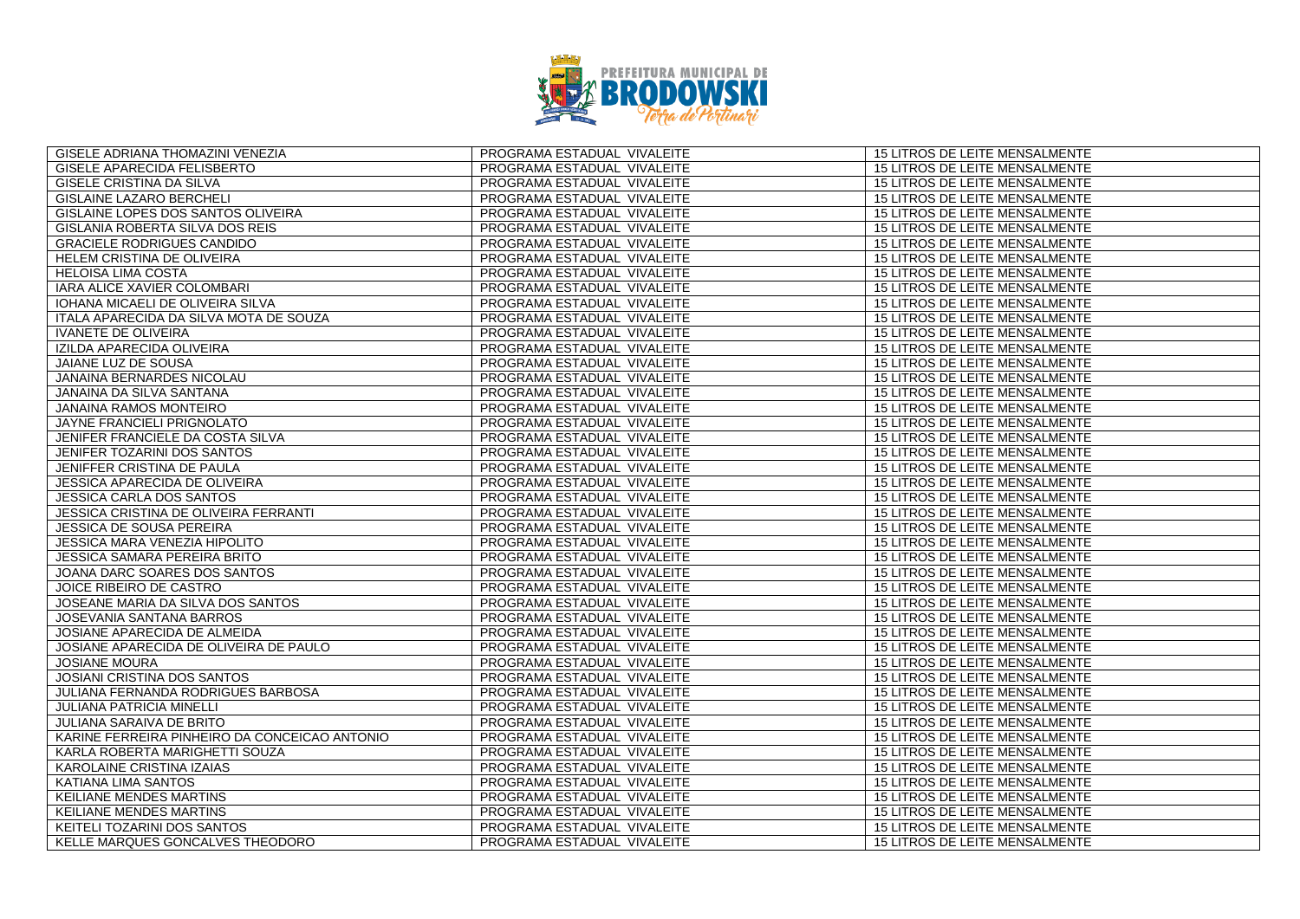

| GISELE ADRIANA THOMAZINI VENEZIA              | PROGRAMA ESTADUAL VIVALEITE | 15 LITROS DE LEITE MENSALMENTE        |
|-----------------------------------------------|-----------------------------|---------------------------------------|
| GISELE APARECIDA FELISBERTO                   | PROGRAMA ESTADUAL VIVALEITE | 15 LITROS DE LEITE MENSALMENTE        |
| GISELE CRISTINA DA SILVA                      | PROGRAMA ESTADUAL VIVALEITE | 15 LITROS DE LEITE MENSALMENTE        |
| <b>GISLAINE LAZARO BERCHELI</b>               | PROGRAMA ESTADUAL VIVALEITE | 15 LITROS DE LEITE MENSALMENTE        |
| GISLAINE LOPES DOS SANTOS OLIVEIRA            | PROGRAMA ESTADUAL VIVALEITE | 15 LITROS DE LEITE MENSALMENTE        |
| <b>GISLANIA ROBERTA SILVA DOS REIS</b>        | PROGRAMA ESTADUAL VIVALEITE | 15 LITROS DE LEITE MENSALMENTE        |
| <b>GRACIELE RODRIGUES CANDIDO</b>             | PROGRAMA ESTADUAL VIVALEITE | <b>15 LITROS DE LEITE MENSALMENTE</b> |
| HELEM CRISTINA DE OLIVEIRA                    | PROGRAMA ESTADUAL VIVALEITE | 15 LITROS DE LEITE MENSALMENTE        |
| <b>HELOISA LIMA COSTA</b>                     | PROGRAMA ESTADUAL VIVALEITE | 15 LITROS DE LEITE MENSALMENTE        |
| IARA ALICE XAVIER COLOMBARI                   | PROGRAMA ESTADUAL VIVALEITE | 15 LITROS DE LEITE MENSALMENTE        |
| IOHANA MICAELI DE OLIVEIRA SILVA              | PROGRAMA ESTADUAL VIVALEITE | 15 LITROS DE LEITE MENSALMENTE        |
| ITALA APARECIDA DA SILVA MOTA DE SOUZA        | PROGRAMA ESTADUAL VIVALEITE | 15 LITROS DE LEITE MENSALMENTE        |
| <b>IVANETE DE OLIVEIRA</b>                    | PROGRAMA ESTADUAL VIVALEITE | 15 LITROS DE LEITE MENSALMENTE        |
| IZILDA APARECIDA OLIVEIRA                     | PROGRAMA ESTADUAL VIVALEITE | 15 LITROS DE LEITE MENSALMENTE        |
| JAIANE LUZ DE SOUSA                           | PROGRAMA ESTADUAL VIVALEITE | 15 LITROS DE LEITE MENSALMENTE        |
| JANAINA BERNARDES NICOLAU                     | PROGRAMA ESTADUAL VIVALEITE | 15 LITROS DE LEITE MENSALMENTE        |
| <b>JANAINA DA SILVA SANTANA</b>               | PROGRAMA ESTADUAL VIVALEITE | <b>15 LITROS DE LEITE MENSALMENTE</b> |
| JANAINA RAMOS MONTEIRO                        | PROGRAMA ESTADUAL VIVALEITE | 15 LITROS DE LEITE MENSALMENTE        |
| JAYNE FRANCIELI PRIGNOLATO                    | PROGRAMA ESTADUAL VIVALEITE | 15 LITROS DE LEITE MENSALMENTE        |
| JENIFER FRANCIELE DA COSTA SILVA              | PROGRAMA ESTADUAL VIVALEITE | 15 LITROS DE LEITE MENSALMENTE        |
| JENIFER TOZARINI DOS SANTOS                   | PROGRAMA ESTADUAL VIVALEITE | 15 LITROS DE LEITE MENSALMENTE        |
| JENIFFER CRISTINA DE PAULA                    | PROGRAMA ESTADUAL VIVALEITE | 15 LITROS DE LEITE MENSALMENTE        |
| <b>JESSICA APARECIDA DE OLIVEIRA</b>          | PROGRAMA ESTADUAL VIVALEITE | <b>15 LITROS DE LEITE MENSALMENTE</b> |
| <b>JESSICA CARLA DOS SANTOS</b>               | PROGRAMA ESTADUAL VIVALEITE | 15 LITROS DE LEITE MENSALMENTE        |
| JESSICA CRISTINA DE OLIVEIRA FERRANTI         | PROGRAMA ESTADUAL VIVALEITE | 15 LITROS DE LEITE MENSALMENTE        |
| <b>JESSICA DE SOUSA PEREIRA</b>               | PROGRAMA ESTADUAL VIVALEITE | 15 LITROS DE LEITE MENSALMENTE        |
| JESSICA MARA VENEZIA HIPOLITO                 | PROGRAMA ESTADUAL VIVALEITE | 15 LITROS DE LEITE MENSALMENTE        |
| <b>JESSICA SAMARA PEREIRA BRITO</b>           | PROGRAMA ESTADUAL VIVALEITE | <b>15 LITROS DE LEITE MENSALMENTE</b> |
| JOANA DARC SOARES DOS SANTOS                  | PROGRAMA ESTADUAL VIVALEITE | 15 LITROS DE LEITE MENSALMENTE        |
| JOICE RIBEIRO DE CASTRO                       | PROGRAMA ESTADUAL VIVALEITE | <b>15 LITROS DE LEITE MENSALMENTE</b> |
| JOSEANE MARIA DA SILVA DOS SANTOS             | PROGRAMA ESTADUAL VIVALEITE | 15 LITROS DE LEITE MENSALMENTE        |
| JOSEVANIA SANTANA BARROS                      | PROGRAMA ESTADUAL VIVALEITE | 15 LITROS DE LEITE MENSALMENTE        |
| JOSIANE APARECIDA DE ALMEIDA                  | PROGRAMA ESTADUAL VIVALEITE | 15 LITROS DE LEITE MENSALMENTE        |
| JOSIANE APARECIDA DE OLIVEIRA DE PAULO        | PROGRAMA ESTADUAL VIVALEITE | 15 LITROS DE LEITE MENSALMENTE        |
| <b>JOSIANE MOURA</b>                          | PROGRAMA ESTADUAL VIVALEITE | 15 LITROS DE LEITE MENSALMENTE        |
| <b>JOSIANI CRISTINA DOS SANTOS</b>            | PROGRAMA ESTADUAL VIVALEITE | 15 LITROS DE LEITE MENSALMENTE        |
| JULIANA FERNANDA RODRIGUES BARBOSA            | PROGRAMA ESTADUAL VIVALEITE | 15 LITROS DE LEITE MENSALMENTE        |
| <b>JULIANA PATRICIA MINELLI</b>               | PROGRAMA ESTADUAL VIVALEITE | 15 LITROS DE LEITE MENSALMENTE        |
| <b>JULIANA SARAIVA DE BRITO</b>               | PROGRAMA ESTADUAL VIVALEITE | <b>15 LITROS DE LEITE MENSALMENTE</b> |
| KARINE FERREIRA PINHEIRO DA CONCEICAO ANTONIO | PROGRAMA ESTADUAL VIVALEITE | 15 LITROS DE LEITE MENSALMENTE        |
| KARLA ROBERTA MARIGHETTI SOUZA                | PROGRAMA ESTADUAL VIVALEITE | 15 LITROS DE LEITE MENSALMENTE        |
| KAROLAINE CRISTINA IZAIAS                     | PROGRAMA ESTADUAL VIVALEITE | 15 LITROS DE LEITE MENSALMENTE        |
| <b>KATIANA LIMA SANTOS</b>                    | PROGRAMA ESTADUAL VIVALEITE | 15 LITROS DE LEITE MENSALMENTE        |
| <b>KEILIANE MENDES MARTINS</b>                | PROGRAMA ESTADUAL VIVALEITE | <b>15 LITROS DE LEITE MENSALMENTE</b> |
| KEILIANE MENDES MARTINS                       | PROGRAMA ESTADUAL VIVALEITE | 15 LITROS DE LEITE MENSALMENTE        |
| KEITELI TOZARINI DOS SANTOS                   | PROGRAMA ESTADUAL VIVALEITE | 15 LITROS DE LEITE MENSALMENTE        |
| KELLE MARQUES GONCALVES THEODORO              | PROGRAMA ESTADUAL VIVALEITE | 15 LITROS DE LEITE MENSALMENTE        |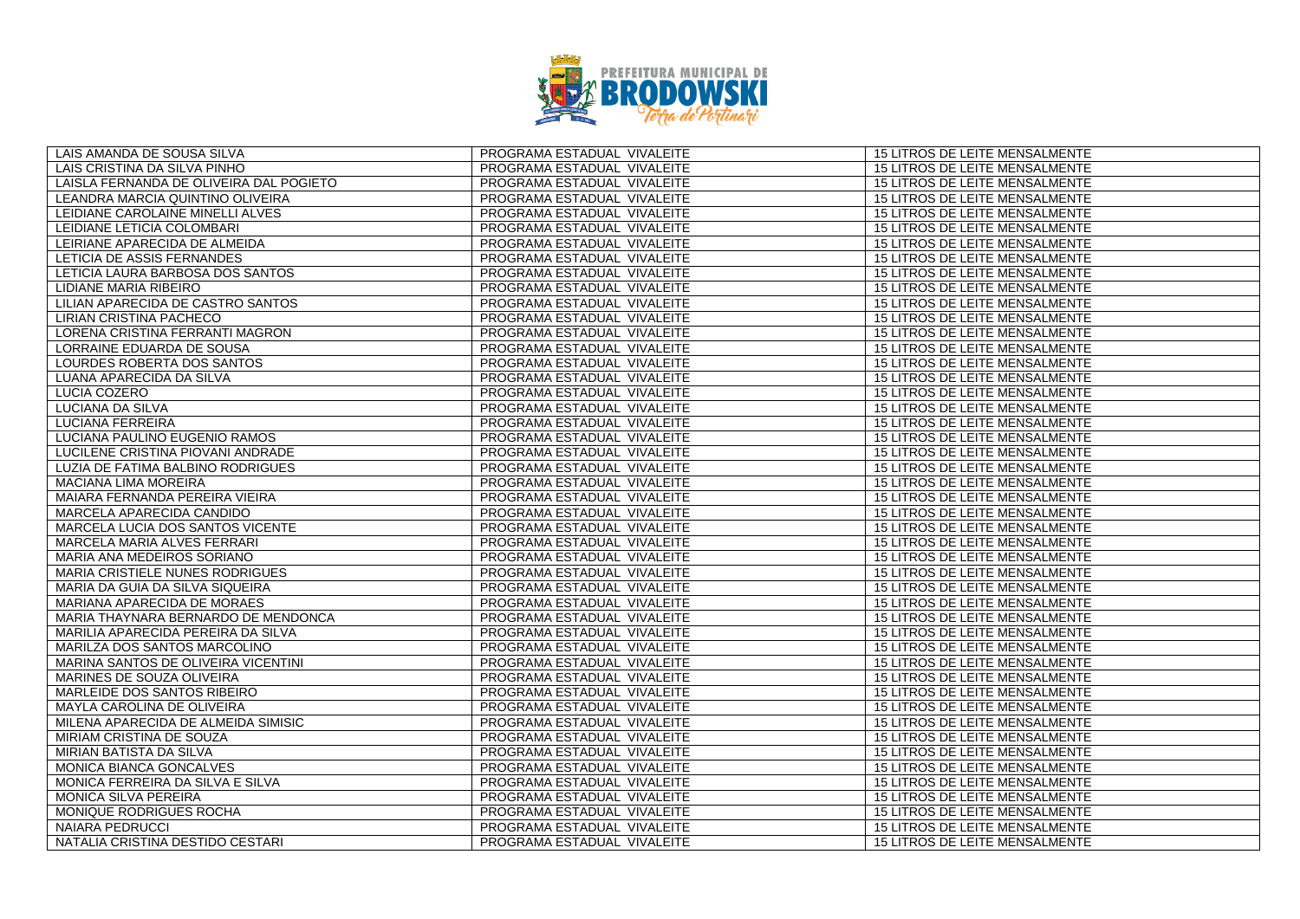

| LAIS AMANDA DE SOUSA SILVA              | PROGRAMA ESTADUAL VIVALEITE | 15 LITROS DE LEITE MENSALMENTE        |
|-----------------------------------------|-----------------------------|---------------------------------------|
| LAIS CRISTINA DA SILVA PINHO            | PROGRAMA ESTADUAL VIVALEITE | 15 LITROS DE LEITE MENSALMENTE        |
| LAISLA FERNANDA DE OLIVEIRA DAL POGIETO | PROGRAMA ESTADUAL VIVALEITE | 15 LITROS DE LEITE MENSALMENTE        |
| LEANDRA MARCIA QUINTINO OLIVEIRA        | PROGRAMA ESTADUAL VIVALEITE | 15 LITROS DE LEITE MENSALMENTE        |
| LEIDIANE CAROLAINE MINELLI ALVES        | PROGRAMA ESTADUAL VIVALEITE | 15 LITROS DE LEITE MENSALMENTE        |
| LEIDIANE LETICIA COLOMBARI              | PROGRAMA ESTADUAL VIVALEITE | 15 LITROS DE LEITE MENSALMENTE        |
| LEIRIANE APARECIDA DE ALMEIDA           | PROGRAMA ESTADUAL VIVALEITE | <b>15 LITROS DE LEITE MENSALMENTE</b> |
| LETICIA DE ASSIS FERNANDES              | PROGRAMA ESTADUAL VIVALEITE | 15 LITROS DE LEITE MENSALMENTE        |
| LETICIA LAURA BARBOSA DOS SANTOS        | PROGRAMA ESTADUAL VIVALEITE | 15 LITROS DE LEITE MENSALMENTE        |
| <b>LIDIANE MARIA RIBEIRO</b>            | PROGRAMA ESTADUAL VIVALEITE | 15 LITROS DE LEITE MENSALMENTE        |
| LILIAN APARECIDA DE CASTRO SANTOS       | PROGRAMA ESTADUAL VIVALEITE | 15 LITROS DE LEITE MENSALMENTE        |
| LIRIAN CRISTINA PACHECO                 | PROGRAMA ESTADUAL VIVALEITE | <b>15 LITROS DE LEITE MENSALMENTE</b> |
| LORENA CRISTINA FERRANTI MAGRON         | PROGRAMA ESTADUAL VIVALEITE | 15 LITROS DE LEITE MENSALMENTE        |
| LORRAINE EDUARDA DE SOUSA               | PROGRAMA ESTADUAL VIVALEITE | 15 LITROS DE LEITE MENSALMENTE        |
| LOURDES ROBERTA DOS SANTOS              | PROGRAMA ESTADUAL VIVALEITE | 15 LITROS DE LEITE MENSALMENTE        |
| LUANA APARECIDA DA SILVA                | PROGRAMA ESTADUAL VIVALEITE | 15 LITROS DE LEITE MENSALMENTE        |
| LUCIA COZERO                            | PROGRAMA ESTADUAL VIVALEITE | <b>15 LITROS DE LEITE MENSALMENTE</b> |
| LUCIANA DA SILVA                        | PROGRAMA ESTADUAL VIVALEITE | 15 LITROS DE LEITE MENSALMENTE        |
| LUCIANA FERREIRA                        | PROGRAMA ESTADUAL VIVALEITE | 15 LITROS DE LEITE MENSALMENTE        |
| LUCIANA PAULINO EUGENIO RAMOS           | PROGRAMA ESTADUAL VIVALEITE | 15 LITROS DE LEITE MENSALMENTE        |
| LUCILENE CRISTINA PIOVANI ANDRADE       | PROGRAMA ESTADUAL VIVALEITE | 15 LITROS DE LEITE MENSALMENTE        |
| LUZIA DE FATIMA BALBINO RODRIGUES       | PROGRAMA ESTADUAL VIVALEITE | 15 LITROS DE LEITE MENSALMENTE        |
| <b>MACIANA LIMA MOREIRA</b>             | PROGRAMA ESTADUAL VIVALEITE | 15 LITROS DE LEITE MENSALMENTE        |
| MAIARA FERNANDA PEREIRA VIEIRA          | PROGRAMA ESTADUAL VIVALEITE | 15 LITROS DE LEITE MENSALMENTE        |
| MARCELA APARECIDA CANDIDO               | PROGRAMA ESTADUAL VIVALEITE | 15 LITROS DE LEITE MENSALMENTE        |
| MARCELA LUCIA DOS SANTOS VICENTE        | PROGRAMA ESTADUAL VIVALEITE | 15 LITROS DE LEITE MENSALMENTE        |
| MARCELA MARIA ALVES FERRARI             | PROGRAMA ESTADUAL VIVALEITE | 15 LITROS DE LEITE MENSALMENTE        |
| MARIA ANA MEDEIROS SORIANO              | PROGRAMA ESTADUAL VIVALEITE | 15 LITROS DE LEITE MENSALMENTE        |
| MARIA CRISTIELE NUNES RODRIGUES         | PROGRAMA ESTADUAL VIVALEITE | 15 LITROS DE LEITE MENSALMENTE        |
| MARIA DA GUIA DA SILVA SIQUEIRA         | PROGRAMA ESTADUAL VIVALEITE | 15 LITROS DE LEITE MENSALMENTE        |
| MARIANA APARECIDA DE MORAES             | PROGRAMA ESTADUAL VIVALEITE | 15 LITROS DE LEITE MENSALMENTE        |
| MARIA THAYNARA BERNARDO DE MENDONCA     | PROGRAMA ESTADUAL VIVALEITE | 15 LITROS DE LEITE MENSALMENTE        |
| MARILIA APARECIDA PEREIRA DA SILVA      | PROGRAMA ESTADUAL VIVALEITE | 15 LITROS DE LEITE MENSALMENTE        |
| MARILZA DOS SANTOS MARCOLINO            | PROGRAMA ESTADUAL VIVALEITE | <b>15 LITROS DE LEITE MENSALMENTE</b> |
| MARINA SANTOS DE OLIVEIRA VICENTINI     | PROGRAMA ESTADUAL VIVALEITE | 15 LITROS DE LEITE MENSALMENTE        |
| MARINES DE SOUZA OLIVEIRA               | PROGRAMA ESTADUAL VIVALEITE | 15 LITROS DE LEITE MENSALMENTE        |
| MARLEIDE DOS SANTOS RIBEIRO             | PROGRAMA ESTADUAL VIVALEITE | 15 LITROS DE LEITE MENSALMENTE        |
| MAYLA CAROLINA DE OLIVEIRA              | PROGRAMA ESTADUAL VIVALEITE | 15 LITROS DE LEITE MENSALMENTE        |
| MILENA APARECIDA DE ALMEIDA SIMISIC     | PROGRAMA ESTADUAL VIVALEITE | 15 LITROS DE LEITE MENSALMENTE        |
| MIRIAM CRISTINA DE SOUZA                | PROGRAMA ESTADUAL VIVALEITE | 15 LITROS DE LEITE MENSALMENTE        |
| MIRIAN BATISTA DA SILVA                 | PROGRAMA ESTADUAL VIVALEITE | 15 LITROS DE LEITE MENSALMENTE        |
| MONICA BIANCA GONCALVES                 | PROGRAMA ESTADUAL VIVALEITE | 15 LITROS DE LEITE MENSALMENTE        |
| MONICA FERREIRA DA SILVA E SILVA        | PROGRAMA ESTADUAL VIVALEITE | 15 LITROS DE LEITE MENSALMENTE        |
| <b>MONICA SILVA PEREIRA</b>             | PROGRAMA ESTADUAL VIVALEITE | 15 LITROS DE LEITE MENSALMENTE        |
| MONIQUE RODRIGUES ROCHA                 | PROGRAMA ESTADUAL VIVALEITE | 15 LITROS DE LEITE MENSALMENTE        |
| NAIARA PEDRUCCI                         | PROGRAMA ESTADUAL VIVALEITE | 15 LITROS DE LEITE MENSALMENTE        |
| NATALIA CRISTINA DESTIDO CESTARI        | PROGRAMA ESTADUAL VIVALEITE | 15 LITROS DE LEITE MENSALMENTE        |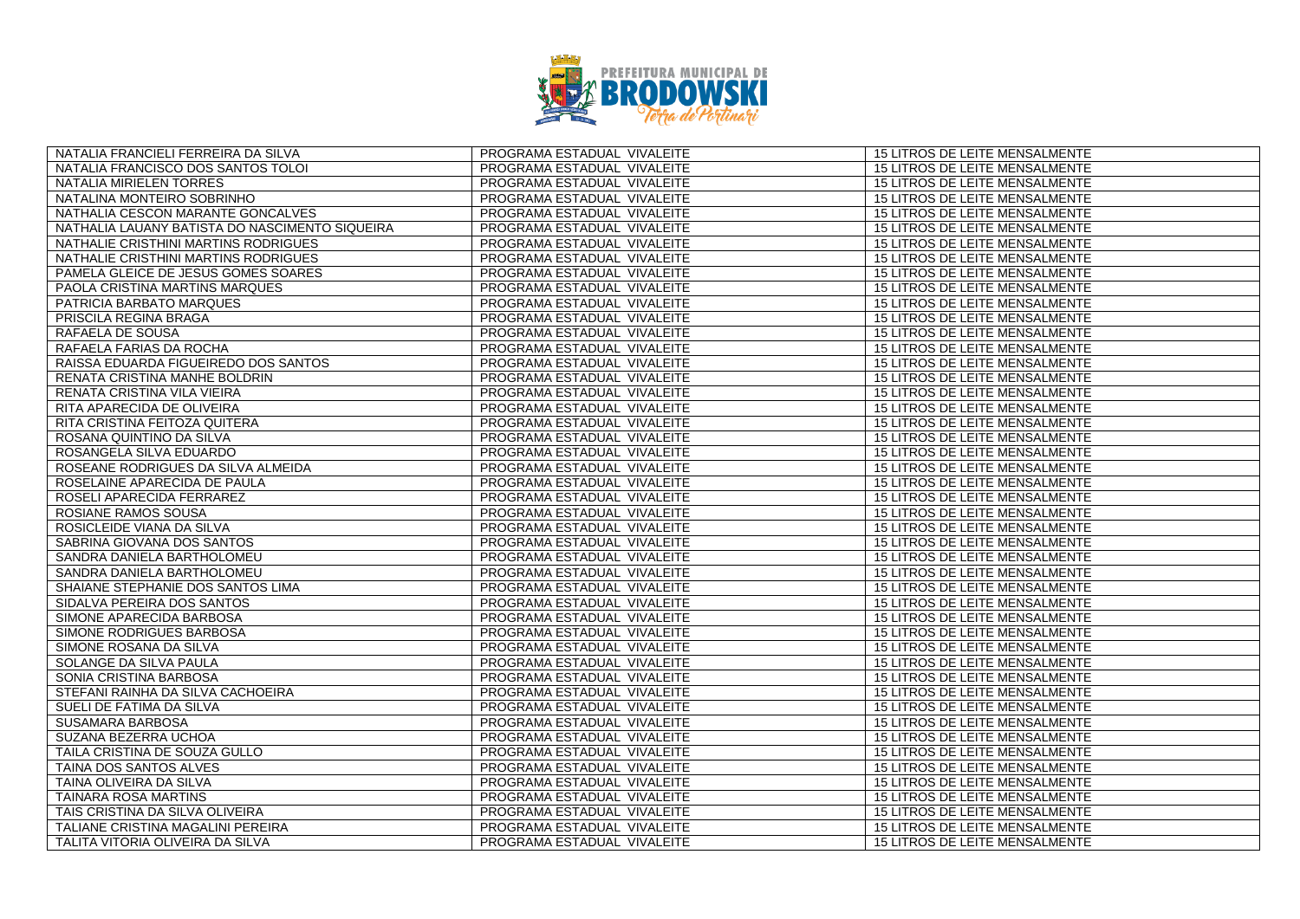

| NATALIA FRANCIELI FERREIRA DA SILVA            | PROGRAMA ESTADUAL VIVALEITE | 15 LITROS DE LEITE MENSALMENTE        |
|------------------------------------------------|-----------------------------|---------------------------------------|
| NATALIA FRANCISCO DOS SANTOS TOLOI             | PROGRAMA ESTADUAL VIVALEITE | 15 LITROS DE LEITE MENSALMENTE        |
| NATALIA MIRIELEN TORRES                        | PROGRAMA ESTADUAL VIVALEITE | 15 LITROS DE LEITE MENSALMENTE        |
| NATALINA MONTEIRO SOBRINHO                     | PROGRAMA ESTADUAL VIVALEITE | 15 LITROS DE LEITE MENSALMENTE        |
| NATHALIA CESCON MARANTE GONCALVES              | PROGRAMA ESTADUAL VIVALEITE | 15 LITROS DE LEITE MENSALMENTE        |
| NATHALIA LAUANY BATISTA DO NASCIMENTO SIQUEIRA | PROGRAMA ESTADUAL VIVALEITE | 15 LITROS DE LEITE MENSALMENTE        |
| NATHALIE CRISTHINI MARTINS RODRIGUES           | PROGRAMA ESTADUAL VIVALEITE | <b>15 LITROS DE LEITE MENSALMENTE</b> |
| NATHALIE CRISTHINI MARTINS RODRIGUES           | PROGRAMA ESTADUAL VIVALEITE | 15 LITROS DE LEITE MENSALMENTE        |
| PAMELA GLEICE DE JESUS GOMES SOARES            | PROGRAMA ESTADUAL VIVALEITE | 15 LITROS DE LEITE MENSALMENTE        |
| PAOLA CRISTINA MARTINS MARQUES                 | PROGRAMA ESTADUAL VIVALEITE | 15 LITROS DE LEITE MENSALMENTE        |
| PATRICIA BARBATO MARQUES                       | PROGRAMA ESTADUAL VIVALEITE | 15 LITROS DE LEITE MENSALMENTE        |
| PRISCILA REGINA BRAGA                          | PROGRAMA ESTADUAL VIVALEITE | <b>15 LITROS DE LEITE MENSALMENTE</b> |
| RAFAELA DE SOUSA                               | PROGRAMA ESTADUAL VIVALEITE | 15 LITROS DE LEITE MENSALMENTE        |
| RAFAELA FARIAS DA ROCHA                        | PROGRAMA ESTADUAL VIVALEITE | 15 LITROS DE LEITE MENSALMENTE        |
| RAISSA EDUARDA FIGUEIREDO DOS SANTOS           | PROGRAMA ESTADUAL VIVALEITE | 15 LITROS DE LEITE MENSALMENTE        |
| RENATA CRISTINA MANHE BOLDRIN                  | PROGRAMA ESTADUAL VIVALEITE | 15 LITROS DE LEITE MENSALMENTE        |
| RENATA CRISTINA VILA VIEIRA                    | PROGRAMA ESTADUAL VIVALEITE | 15 LITROS DE LEITE MENSALMENTE        |
| RITA APARECIDA DE OLIVEIRA                     | PROGRAMA ESTADUAL VIVALEITE | 15 LITROS DE LEITE MENSALMENTE        |
| RITA CRISTINA FEITOZA QUITERA                  | PROGRAMA ESTADUAL VIVALEITE | 15 LITROS DE LEITE MENSALMENTE        |
| ROSANA QUINTINO DA SILVA                       | PROGRAMA ESTADUAL VIVALEITE | 15 LITROS DE LEITE MENSALMENTE        |
| ROSANGELA SILVA EDUARDO                        | PROGRAMA ESTADUAL VIVALEITE | 15 LITROS DE LEITE MENSALMENTE        |
| ROSEANE RODRIGUES DA SILVA ALMEIDA             | PROGRAMA ESTADUAL VIVALEITE | 15 LITROS DE LEITE MENSALMENTE        |
| ROSELAINE APARECIDA DE PAULA                   | PROGRAMA ESTADUAL VIVALEITE | 15 LITROS DE LEITE MENSALMENTE        |
| ROSELI APARECIDA FERRAREZ                      | PROGRAMA ESTADUAL VIVALEITE | 15 LITROS DE LEITE MENSALMENTE        |
| ROSIANE RAMOS SOUSA                            | PROGRAMA ESTADUAL VIVALEITE | <b>15 LITROS DE LEITE MENSALMENTE</b> |
| ROSICLEIDE VIANA DA SILVA                      | PROGRAMA ESTADUAL VIVALEITE | 15 LITROS DE LEITE MENSALMENTE        |
| SABRINA GIOVANA DOS SANTOS                     | PROGRAMA ESTADUAL VIVALEITE | 15 LITROS DE LEITE MENSALMENTE        |
| SANDRA DANIELA BARTHOLOMEU                     | PROGRAMA ESTADUAL VIVALEITE | 15 LITROS DE LEITE MENSALMENTE        |
| SANDRA DANIELA BARTHOLOMEU                     | PROGRAMA ESTADUAL VIVALEITE | 15 LITROS DE LEITE MENSALMENTE        |
| SHAIANE STEPHANIE DOS SANTOS LIMA              | PROGRAMA ESTADUAL VIVALEITE | 15 LITROS DE LEITE MENSALMENTE        |
| SIDALVA PEREIRA DOS SANTOS                     | PROGRAMA ESTADUAL VIVALEITE | 15 LITROS DE LEITE MENSALMENTE        |
| SIMONE APARECIDA BARBOSA                       | PROGRAMA ESTADUAL VIVALEITE | 15 LITROS DE LEITE MENSALMENTE        |
| SIMONE RODRIGUES BARBOSA                       | PROGRAMA ESTADUAL VIVALEITE | 15 LITROS DE LEITE MENSALMENTE        |
| SIMONE ROSANA DA SILVA                         | PROGRAMA ESTADUAL VIVALEITE | 15 LITROS DE LEITE MENSALMENTE        |
| SOLANGE DA SILVA PAULA                         | PROGRAMA ESTADUAL VIVALEITE | 15 LITROS DE LEITE MENSALMENTE        |
| SONIA CRISTINA BARBOSA                         | PROGRAMA ESTADUAL VIVALEITE | 15 LITROS DE LEITE MENSALMENTE        |
| STEFANI RAINHA DA SILVA CACHOEIRA              | PROGRAMA ESTADUAL VIVALEITE | 15 LITROS DE LEITE MENSALMENTE        |
| SUELI DE FATIMA DA SILVA                       | PROGRAMA ESTADUAL VIVALEITE | 15 LITROS DE LEITE MENSALMENTE        |
| SUSAMARA BARBOSA                               | PROGRAMA ESTADUAL VIVALEITE | 15 LITROS DE LEITE MENSALMENTE        |
| SUZANA BEZERRA UCHOA                           | PROGRAMA ESTADUAL VIVALEITE | 15 LITROS DE LEITE MENSALMENTE        |
| TAILA CRISTINA DE SOUZA GULLO                  | PROGRAMA ESTADUAL VIVALEITE | 15 LITROS DE LEITE MENSALMENTE        |
| TAINA DOS SANTOS ALVES                         | PROGRAMA ESTADUAL VIVALEITE | 15 LITROS DE LEITE MENSALMENTE        |
| TAINA OLIVEIRA DA SILVA                        | PROGRAMA ESTADUAL VIVALEITE | 15 LITROS DE LEITE MENSALMENTE        |
| TAINARA ROSA MARTINS                           | PROGRAMA ESTADUAL VIVALEITE | 15 LITROS DE LEITE MENSALMENTE        |
| TAIS CRISTINA DA SILVA OLIVEIRA                | PROGRAMA ESTADUAL VIVALEITE | 15 LITROS DE LEITE MENSALMENTE        |
| TALIANE CRISTINA MAGALINI PEREIRA              | PROGRAMA ESTADUAL VIVALEITE | 15 LITROS DE LEITE MENSALMENTE        |
| TALITA VITORIA OLIVEIRA DA SILVA               | PROGRAMA ESTADUAL VIVALEITE | 15 LITROS DE LEITE MENSALMENTE        |